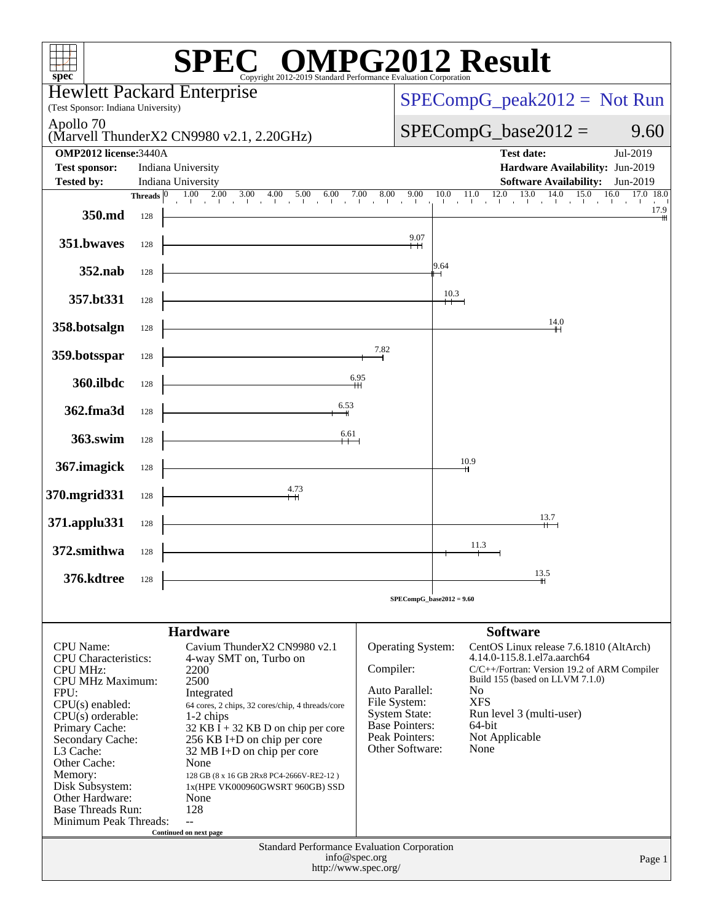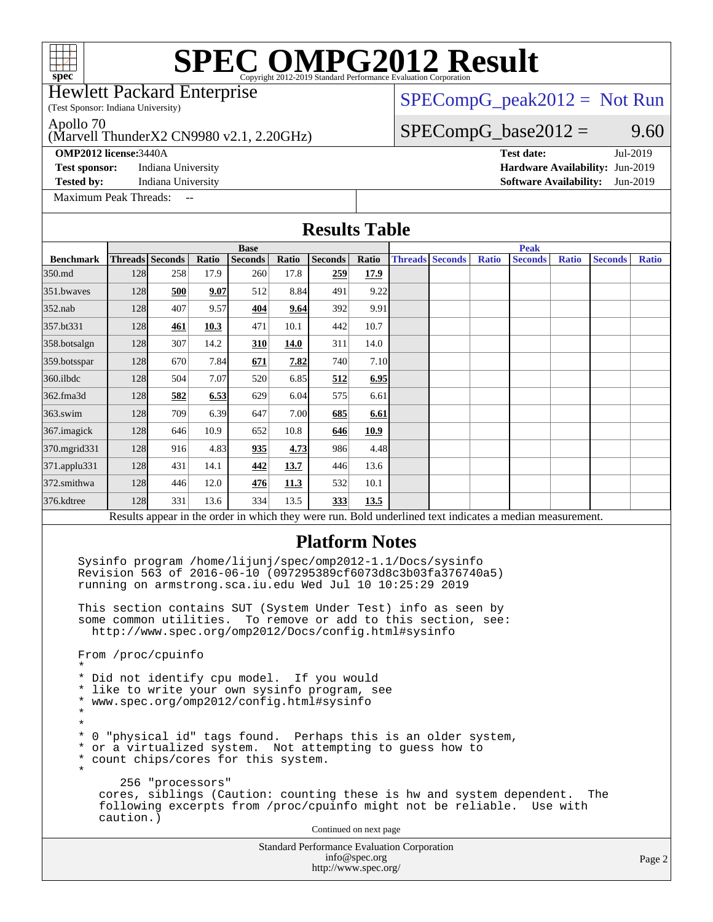(Test Sponsor: Indiana University) Hewlett Packard Enterprise

### $SPECompG_peak2012 = Not Run$  $SPECompG_peak2012 = Not Run$

 $SPECompG_base2012 = 9.60$  $SPECompG_base2012 = 9.60$ 

Apollo 70

### (Marvell ThunderX2 CN9980 v2.1, 2.20GHz)

[Maximum Peak Threads:](http://www.spec.org/auto/omp2012/Docs/result-fields.html#MaximumPeakThreads)

**[OMP2012 license:](http://www.spec.org/auto/omp2012/Docs/result-fields.html#OMP2012license)**3440A **[Test date:](http://www.spec.org/auto/omp2012/Docs/result-fields.html#Testdate)** Jul-2019 **[Test sponsor:](http://www.spec.org/auto/omp2012/Docs/result-fields.html#Testsponsor)** Indiana University **[Hardware Availability:](http://www.spec.org/auto/omp2012/Docs/result-fields.html#HardwareAvailability)** Jun-2019 **[Tested by:](http://www.spec.org/auto/omp2012/Docs/result-fields.html#Testedby)** Indiana University **[Software Availability:](http://www.spec.org/auto/omp2012/Docs/result-fields.html#SoftwareAvailability)** Jun-2019

Standard Performance Evaluation Corporation **[Results Table](http://www.spec.org/auto/omp2012/Docs/result-fields.html#ResultsTable) [Benchmark](http://www.spec.org/auto/omp2012/Docs/result-fields.html#Benchmark) [Threads](http://www.spec.org/auto/omp2012/Docs/result-fields.html#Threads) [Seconds](http://www.spec.org/auto/omp2012/Docs/result-fields.html#Seconds) [Ratio](http://www.spec.org/auto/omp2012/Docs/result-fields.html#Ratio) [Seconds](http://www.spec.org/auto/omp2012/Docs/result-fields.html#Seconds) [Ratio](http://www.spec.org/auto/omp2012/Docs/result-fields.html#Ratio) [Seconds](http://www.spec.org/auto/omp2012/Docs/result-fields.html#Seconds) [Ratio](http://www.spec.org/auto/omp2012/Docs/result-fields.html#Ratio) Base [Threads](http://www.spec.org/auto/omp2012/Docs/result-fields.html#Threads) [Seconds](http://www.spec.org/auto/omp2012/Docs/result-fields.html#Seconds) [Ratio](http://www.spec.org/auto/omp2012/Docs/result-fields.html#Ratio) [Seconds](http://www.spec.org/auto/omp2012/Docs/result-fields.html#Seconds) [Ratio](http://www.spec.org/auto/omp2012/Docs/result-fields.html#Ratio) [Seconds](http://www.spec.org/auto/omp2012/Docs/result-fields.html#Seconds) [Ratio](http://www.spec.org/auto/omp2012/Docs/result-fields.html#Ratio) Peak** [350.md](http://www.spec.org/auto/omp2012/Docs/350.md.html) 128 258 17.9 260 17.8 **[259](http://www.spec.org/auto/omp2012/Docs/result-fields.html#Median) [17.9](http://www.spec.org/auto/omp2012/Docs/result-fields.html#Median)** [351.bwaves](http://www.spec.org/auto/omp2012/Docs/351.bwaves.html) 128 **[500](http://www.spec.org/auto/omp2012/Docs/result-fields.html#Median) [9.07](http://www.spec.org/auto/omp2012/Docs/result-fields.html#Median)** 512 8.84 491 9.22 [352.nab](http://www.spec.org/auto/omp2012/Docs/352.nab.html) 128 407 9.57 **[404](http://www.spec.org/auto/omp2012/Docs/result-fields.html#Median) [9.64](http://www.spec.org/auto/omp2012/Docs/result-fields.html#Median)** 392 9.91 [357.bt331](http://www.spec.org/auto/omp2012/Docs/357.bt331.html) 128 **[461](http://www.spec.org/auto/omp2012/Docs/result-fields.html#Median) [10.3](http://www.spec.org/auto/omp2012/Docs/result-fields.html#Median)** 471 10.1 442 10.7 [358.botsalgn](http://www.spec.org/auto/omp2012/Docs/358.botsalgn.html) 128 307 14.2 **[310](http://www.spec.org/auto/omp2012/Docs/result-fields.html#Median) [14.0](http://www.spec.org/auto/omp2012/Docs/result-fields.html#Median)** 311 14.0 [359.botsspar](http://www.spec.org/auto/omp2012/Docs/359.botsspar.html) 128 670 7.84 **[671](http://www.spec.org/auto/omp2012/Docs/result-fields.html#Median) [7.82](http://www.spec.org/auto/omp2012/Docs/result-fields.html#Median)** 740 7.10 [360.ilbdc](http://www.spec.org/auto/omp2012/Docs/360.ilbdc.html) 128 504 7.07 520 6.85 **[512](http://www.spec.org/auto/omp2012/Docs/result-fields.html#Median) [6.95](http://www.spec.org/auto/omp2012/Docs/result-fields.html#Median)** [362.fma3d](http://www.spec.org/auto/omp2012/Docs/362.fma3d.html) 128 **[582](http://www.spec.org/auto/omp2012/Docs/result-fields.html#Median) [6.53](http://www.spec.org/auto/omp2012/Docs/result-fields.html#Median)** 629 6.04 575 6.61 [363.swim](http://www.spec.org/auto/omp2012/Docs/363.swim.html) 128 709 6.39 647 7.00 **[685](http://www.spec.org/auto/omp2012/Docs/result-fields.html#Median) [6.61](http://www.spec.org/auto/omp2012/Docs/result-fields.html#Median)** [367.imagick](http://www.spec.org/auto/omp2012/Docs/367.imagick.html) 128 646 10.9 652 10.8 **[646](http://www.spec.org/auto/omp2012/Docs/result-fields.html#Median) [10.9](http://www.spec.org/auto/omp2012/Docs/result-fields.html#Median)** [370.mgrid331](http://www.spec.org/auto/omp2012/Docs/370.mgrid331.html) 128 916 4.83 **[935](http://www.spec.org/auto/omp2012/Docs/result-fields.html#Median) [4.73](http://www.spec.org/auto/omp2012/Docs/result-fields.html#Median)** 986 4.48 [371.applu331](http://www.spec.org/auto/omp2012/Docs/371.applu331.html) 128 431 14.1 **[442](http://www.spec.org/auto/omp2012/Docs/result-fields.html#Median) [13.7](http://www.spec.org/auto/omp2012/Docs/result-fields.html#Median)** 446 13.6 [372.smithwa](http://www.spec.org/auto/omp2012/Docs/372.smithwa.html) 128 446 12.0 **[476](http://www.spec.org/auto/omp2012/Docs/result-fields.html#Median) [11.3](http://www.spec.org/auto/omp2012/Docs/result-fields.html#Median)** 532 10.1 [376.kdtree](http://www.spec.org/auto/omp2012/Docs/376.kdtree.html) 128 331 13.6 334 13.5 **[333](http://www.spec.org/auto/omp2012/Docs/result-fields.html#Median) [13.5](http://www.spec.org/auto/omp2012/Docs/result-fields.html#Median)** Results appear in the [order in which they were run.](http://www.spec.org/auto/omp2012/Docs/result-fields.html#RunOrder) Bold underlined text [indicates a median measurement.](http://www.spec.org/auto/omp2012/Docs/result-fields.html#Median) **[Platform Notes](http://www.spec.org/auto/omp2012/Docs/result-fields.html#PlatformNotes)** Sysinfo program /home/lijunj/spec/omp2012-1.1/Docs/sysinfo Revision 563 of 2016-06-10 (097295389cf6073d8c3b03fa376740a5) running on armstrong.sca.iu.edu Wed Jul 10 10:25:29 2019 This section contains SUT (System Under Test) info as seen by some common utilities. To remove or add to this section, see: <http://www.spec.org/omp2012/Docs/config.html#sysinfo> From /proc/cpuinfo \* \* Did not identify cpu model. If you would \* like to write your own sysinfo program, see \* www.spec.org/omp2012/config.html#sysinfo \* \* \* 0 "physical id" tags found. Perhaps this is an older system, \* or a virtualized system. Not attempting to guess how to \* count chips/cores for this system. \* 256 "processors" cores, siblings (Caution: counting these is hw and system dependent. The following excerpts from /proc/cpuinfo might not be reliable. Use with caution.) Continued on next page

> [info@spec.org](mailto:info@spec.org) <http://www.spec.org/>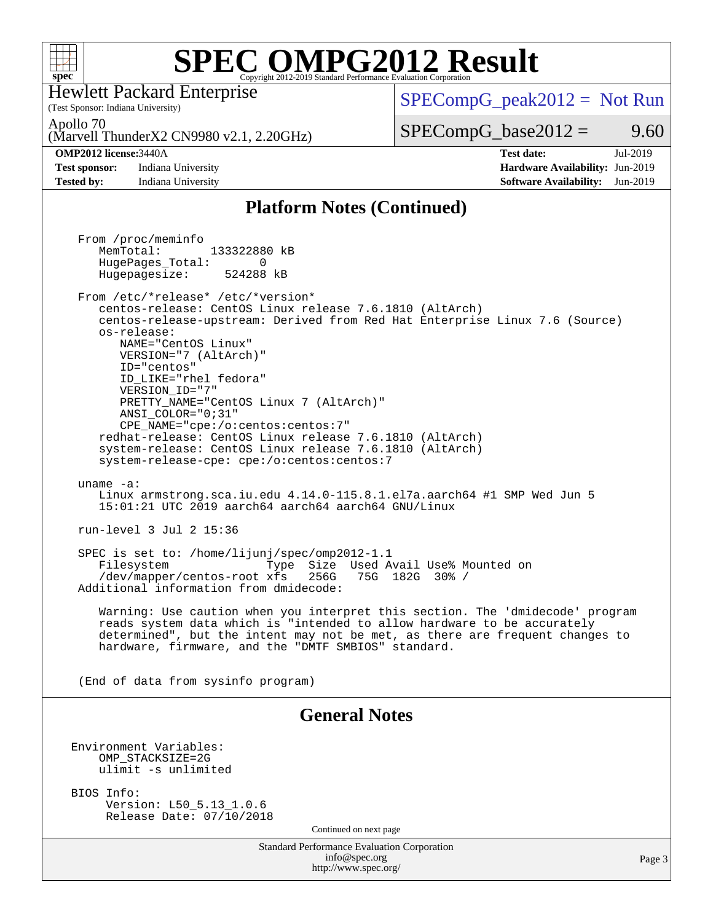

(Test Sponsor: Indiana University) Hewlett Packard Enterprise

 $SPECompG_peak2012 = Not Run$  $SPECompG_peak2012 = Not Run$ 

Apollo 70

(Marvell ThunderX2 CN9980 v2.1, 2.20GHz)

### **[OMP2012 license:](http://www.spec.org/auto/omp2012/Docs/result-fields.html#OMP2012license)**3440A **[Test date:](http://www.spec.org/auto/omp2012/Docs/result-fields.html#Testdate)** Jul-2019

**[Test sponsor:](http://www.spec.org/auto/omp2012/Docs/result-fields.html#Testsponsor)** Indiana University **[Hardware Availability:](http://www.spec.org/auto/omp2012/Docs/result-fields.html#HardwareAvailability)** Jun-2019

 $SPECompG_base2012 = 9.60$  $SPECompG_base2012 = 9.60$ 

**[Tested by:](http://www.spec.org/auto/omp2012/Docs/result-fields.html#Testedby)** Indiana University **[Software Availability:](http://www.spec.org/auto/omp2012/Docs/result-fields.html#SoftwareAvailability)** Jun-2019

### **[Platform Notes \(Continued\)](http://www.spec.org/auto/omp2012/Docs/result-fields.html#PlatformNotes)**

Standard Performance Evaluation Corporation [info@spec.org](mailto:info@spec.org) <http://www.spec.org/> Page 3 From /proc/meminfo MemTotal: 133322880 kB HugePages\_Total: 0<br>Hugepagesize: 524288 kB Hugepagesize: From /etc/\*release\* /etc/\*version\* centos-release: CentOS Linux release 7.6.1810 (AltArch) centos-release-upstream: Derived from Red Hat Enterprise Linux 7.6 (Source) os-release: NAME="CentOS Linux" VERSION="7 (AltArch)" ID="centos" ID\_LIKE="rhel fedora" VERSION\_ID="7" PRETTY\_NAME="CentOS\_Linux 7 (AltArch)" ANSI\_COLOR="0;31" CPE\_NAME="cpe:/o:centos:centos:7" redhat-release: CentOS Linux release 7.6.1810 (AltArch) system-release: CentOS Linux release 7.6.1810 (AltArch) system-release-cpe: cpe:/o:centos:centos:7 uname -a: Linux armstrong.sca.iu.edu 4.14.0-115.8.1.el7a.aarch64 #1 SMP Wed Jun 5 15:01:21 UTC 2019 aarch64 aarch64 aarch64 GNU/Linux run-level 3 Jul 2 15:36 SPEC is set to: /home/lijunj/spec/omp2012-1.1 Filesystem Type Size Used Avail Use% Mounted on /dev/mapper/centos-root xfs 256G 75G 182G 30% / Additional information from dmidecode: Warning: Use caution when you interpret this section. The 'dmidecode' program reads system data which is "intended to allow hardware to be accurately determined", but the intent may not be met, as there are frequent changes to hardware, firmware, and the "DMTF SMBIOS" standard. (End of data from sysinfo program) **[General Notes](http://www.spec.org/auto/omp2012/Docs/result-fields.html#GeneralNotes)** Environment Variables: OMP\_STACKSIZE=2G ulimit -s unlimited BIOS Info: Version: L50\_5.13\_1.0.6 Release Date: 07/10/2018 Continued on next page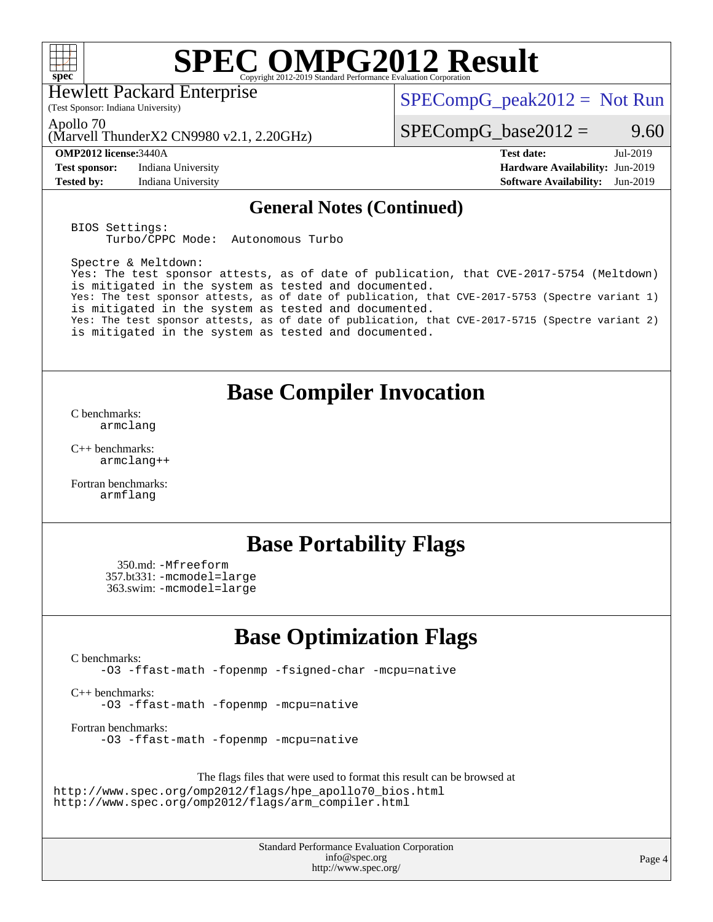

Hewlett Packard Enterprise

 $SPECompG_peak2012 = Not Run$  $SPECompG_peak2012 = Not Run$ 

Apollo 70

(Marvell ThunderX2 CN9980 v2.1, 2.20GHz)

(Test Sponsor: Indiana University)

**[Test sponsor:](http://www.spec.org/auto/omp2012/Docs/result-fields.html#Testsponsor)** Indiana University **[Hardware Availability:](http://www.spec.org/auto/omp2012/Docs/result-fields.html#HardwareAvailability)** Jun-2019

 $SPECompG_base2012 = 9.60$  $SPECompG_base2012 = 9.60$ 

**[OMP2012 license:](http://www.spec.org/auto/omp2012/Docs/result-fields.html#OMP2012license)**3440A **[Test date:](http://www.spec.org/auto/omp2012/Docs/result-fields.html#Testdate)** Jul-2019 **[Tested by:](http://www.spec.org/auto/omp2012/Docs/result-fields.html#Testedby)** Indiana University **[Software Availability:](http://www.spec.org/auto/omp2012/Docs/result-fields.html#SoftwareAvailability)** Jun-2019

### **[General Notes \(Continued\)](http://www.spec.org/auto/omp2012/Docs/result-fields.html#GeneralNotes)**

BIOS Settings: Turbo/CPPC Mode: Autonomous Turbo

Spectre & Meltdown: Yes: The test sponsor attests, as of date of publication, that CVE-2017-5754 (Meltdown) is mitigated in the system as tested and documented. Yes: The test sponsor attests, as of date of publication, that CVE-2017-5753 (Spectre variant 1) is mitigated in the system as tested and documented. Yes: The test sponsor attests, as of date of publication, that CVE-2017-5715 (Spectre variant 2) is mitigated in the system as tested and documented.

## **[Base Compiler Invocation](http://www.spec.org/auto/omp2012/Docs/result-fields.html#BaseCompilerInvocation)**

[C benchmarks](http://www.spec.org/auto/omp2012/Docs/result-fields.html#Cbenchmarks): [armclang](http://www.spec.org/omp2012/results/res2019q3/omp2012-20190812-00186.flags.html#user_CCbase_clang_3481ee5e28a05ca18f70b7399696a852)

[C++ benchmarks:](http://www.spec.org/auto/omp2012/Docs/result-fields.html#CXXbenchmarks) [armclang++](http://www.spec.org/omp2012/results/res2019q3/omp2012-20190812-00186.flags.html#user_CXXbase_clangplusplus_c3137dbe1be0ddf9e210a79cee0f6e94)

[Fortran benchmarks](http://www.spec.org/auto/omp2012/Docs/result-fields.html#Fortranbenchmarks): [armflang](http://www.spec.org/omp2012/results/res2019q3/omp2012-20190812-00186.flags.html#user_FCbase_flang_ea1fcaad5753608c4e545380f84a6f27)

## **[Base Portability Flags](http://www.spec.org/auto/omp2012/Docs/result-fields.html#BasePortabilityFlags)**

 350.md: [-Mfreeform](http://www.spec.org/omp2012/results/res2019q3/omp2012-20190812-00186.flags.html#user_baseFPORTABILITY350_md_M-freeform_67e23de17d51d9df7d6a47ecf8fd3ce9) 357.bt331: [-mcmodel=large](http://www.spec.org/omp2012/results/res2019q3/omp2012-20190812-00186.flags.html#user_baseFPORTABILITY357_bt331_f-mcmodel_bcd93d8f19f54a7ceb7a1f9518737645) 363.swim: [-mcmodel=large](http://www.spec.org/omp2012/results/res2019q3/omp2012-20190812-00186.flags.html#user_baseFPORTABILITY363_swim_f-mcmodel_bcd93d8f19f54a7ceb7a1f9518737645)

## **[Base Optimization Flags](http://www.spec.org/auto/omp2012/Docs/result-fields.html#BaseOptimizationFlags)**

[C benchmarks](http://www.spec.org/auto/omp2012/Docs/result-fields.html#Cbenchmarks):

[-O3](http://www.spec.org/omp2012/results/res2019q3/omp2012-20190812-00186.flags.html#user_CCbase_f-O3) [-ffast-math](http://www.spec.org/omp2012/results/res2019q3/omp2012-20190812-00186.flags.html#user_CCbase_f-ffast-math) [-fopenmp](http://www.spec.org/omp2012/results/res2019q3/omp2012-20190812-00186.flags.html#user_CCbase_f-fopenmp) [-fsigned-char](http://www.spec.org/omp2012/results/res2019q3/omp2012-20190812-00186.flags.html#user_CCbase_f-signed-char_ea072296ce3abda7ab095741e7c36064) [-mcpu=native](http://www.spec.org/omp2012/results/res2019q3/omp2012-20190812-00186.flags.html#user_CCbase_f-mcpu_8022b0ebebd1cfddb76fd2cd38caa1e3)

[C++ benchmarks:](http://www.spec.org/auto/omp2012/Docs/result-fields.html#CXXbenchmarks) [-O3](http://www.spec.org/omp2012/results/res2019q3/omp2012-20190812-00186.flags.html#user_CXXbase_f-O3) [-ffast-math](http://www.spec.org/omp2012/results/res2019q3/omp2012-20190812-00186.flags.html#user_CXXbase_f-ffast-math) [-fopenmp](http://www.spec.org/omp2012/results/res2019q3/omp2012-20190812-00186.flags.html#user_CXXbase_f-fopenmp) [-mcpu=native](http://www.spec.org/omp2012/results/res2019q3/omp2012-20190812-00186.flags.html#user_CXXbase_f-mcpu_8022b0ebebd1cfddb76fd2cd38caa1e3)

[Fortran benchmarks](http://www.spec.org/auto/omp2012/Docs/result-fields.html#Fortranbenchmarks): [-O3](http://www.spec.org/omp2012/results/res2019q3/omp2012-20190812-00186.flags.html#user_FCbase_f-O3) [-ffast-math](http://www.spec.org/omp2012/results/res2019q3/omp2012-20190812-00186.flags.html#user_FCbase_f-ffast-math) [-fopenmp](http://www.spec.org/omp2012/results/res2019q3/omp2012-20190812-00186.flags.html#user_FCbase_f-fopenmp) [-mcpu=native](http://www.spec.org/omp2012/results/res2019q3/omp2012-20190812-00186.flags.html#user_FCbase_f-mcpu_8022b0ebebd1cfddb76fd2cd38caa1e3)

The flags files that were used to format this result can be browsed at [http://www.spec.org/omp2012/flags/hpe\\_apollo70\\_bios.html](http://www.spec.org/omp2012/flags/hpe_apollo70_bios.html) [http://www.spec.org/omp2012/flags/arm\\_compiler.html](http://www.spec.org/omp2012/flags/arm_compiler.html)

> Standard Performance Evaluation Corporation [info@spec.org](mailto:info@spec.org) <http://www.spec.org/>